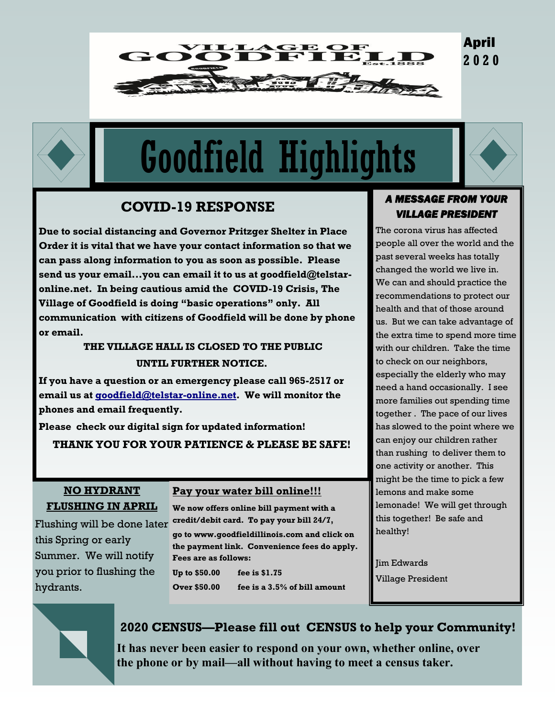# April **2 0 2 0**



# Goodfield Highlights

GE OF<br>FIELI



# **COVID-19 RESPONSE**

**Due to social distancing and Governor Pritzger Shelter in Place Order it is vital that we have your contact information so that we can pass along information to you as soon as possible. Please send us your email...you can email it to us at goodfield@telstaronline.net. In being cautious amid the COVID-19 Crisis, The Village of Goodfield is doing "basic operations" only. All communication with citizens of Goodfield will be done by phone or email.**

# **THE VILLAGE HALL IS CLOSED TO THE PUBLIC UNTIL FURTHER NOTICE.**

**If you have a question or an emergency please call 965-2517 or email us at [goodfield@telstar-online.net.](mailto:goodfield@telstar-online.net) We will monitor the phones and email frequently.**

**Please check our digital sign for updated information!**

**THANK YOU FOR YOUR PATIENCE & PLEASE BE SAFE!**

### **NO HYDRANT FLUSHING IN APRIL**

Flushing will be done later this Spring or early Summer. We will notify you prior to flushing the hydrants.

# **Pay your water bill online!!!**

**We now offers online bill payment with a credit/debit card. To pay your bill 24/7, go to www.goodfieldillinois.com and click on the payment link. Convenience fees do apply. Fees are as follows: Up to \$50.00 fee is \$1.75**

**Over \$50.00 fee is a 3.5% of bill amount**

#### *A MESSAGE FROM YOUR VILLAGE PRESIDENT*

The corona virus has affected people all over the world and the past several weeks has totally changed the world we live in. We can and should practice the recommendations to protect our health and that of those around us. But we can take advantage of the extra time to spend more time with our children. Take the time to check on our neighbors, especially the elderly who may need a hand occasionally. I see more families out spending time together . The pace of our lives has slowed to the point where we can enjoy our children rather than rushing to deliver them to one activity or another. This might be the time to pick a few lemons and make some lemonade! We will get through this together! Be safe and healthy!

Jim Edwards Village President



# **2020 CENSUS—Please fill out CENSUS to help your Community!**

**It has never been easier to respond on your own, whether online, over the phone or by mail—all without having to meet a census taker.**